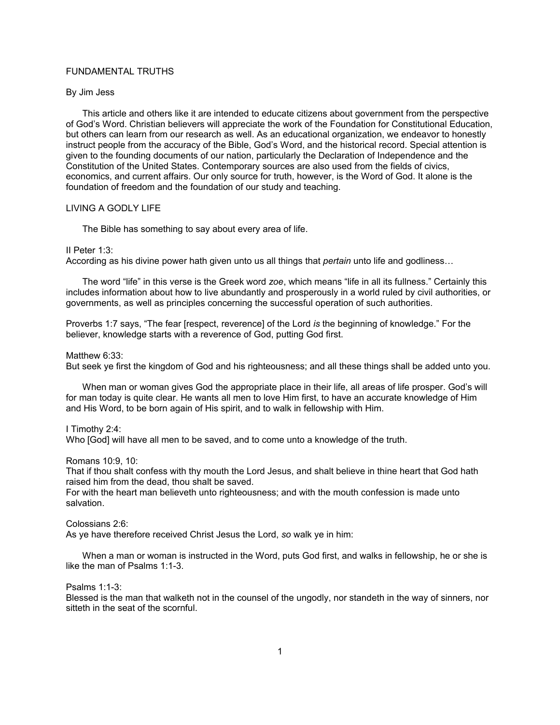# FUNDAMENTAL TRUTHS

# By Jim Jess

This article and others like it are intended to educate citizens about government from the perspective of God's Word. Christian believers will appreciate the work of the Foundation for Constitutional Education, but others can learn from our research as well. As an educational organization, we endeavor to honestly instruct people from the accuracy of the Bible, God's Word, and the historical record. Special attention is given to the founding documents of our nation, particularly the Declaration of Independence and the Constitution of the United States. Contemporary sources are also used from the fields of civics, economics, and current affairs. Our only source for truth, however, is the Word of God. It alone is the foundation of freedom and the foundation of our study and teaching.

# LIVING A GODLY LIFE

The Bible has something to say about every area of life.

#### II Peter 1:3:

According as his divine power hath given unto us all things that *pertain* unto life and godliness…

The word "life" in this verse is the Greek word *zoe*, which means "life in all its fullness." Certainly this includes information about how to live abundantly and prosperously in a world ruled by civil authorities, or governments, as well as principles concerning the successful operation of such authorities.

Proverbs 1:7 says, "The fear [respect, reverence] of the Lord *is* the beginning of knowledge." For the believer, knowledge starts with a reverence of God, putting God first.

#### Matthew 6:33:

But seek ye first the kingdom of God and his righteousness; and all these things shall be added unto you.

When man or woman gives God the appropriate place in their life, all areas of life prosper. God's will for man today is quite clear. He wants all men to love Him first, to have an accurate knowledge of Him and His Word, to be born again of His spirit, and to walk in fellowship with Him.

## I Timothy 2:4:

Who [God] will have all men to be saved, and to come unto a knowledge of the truth.

Romans 10:9, 10:

That if thou shalt confess with thy mouth the Lord Jesus, and shalt believe in thine heart that God hath raised him from the dead, thou shalt be saved.

For with the heart man believeth unto righteousness; and with the mouth confession is made unto salvation.

Colossians 2:6:

As ye have therefore received Christ Jesus the Lord, *so* walk ye in him:

When a man or woman is instructed in the Word, puts God first, and walks in fellowship, he or she is like the man of Psalms 1:1-3.

#### Psalms 1:1-3:

Blessed is the man that walketh not in the counsel of the ungodly, nor standeth in the way of sinners, nor sitteth in the seat of the scornful.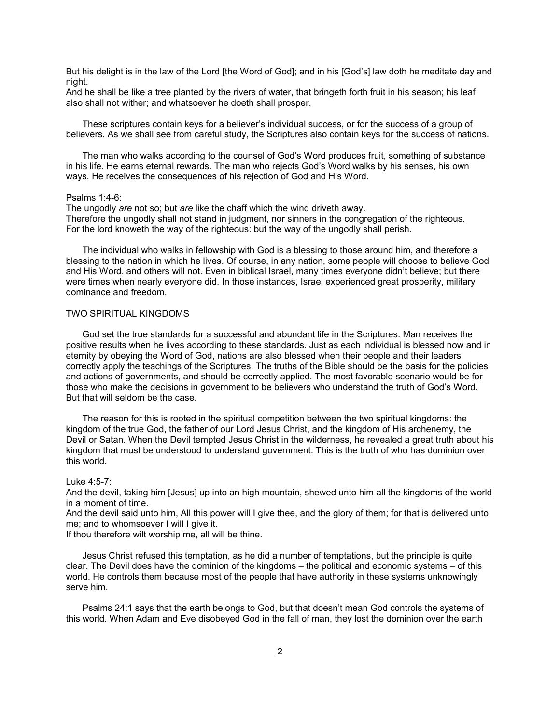But his delight is in the law of the Lord [the Word of God]; and in his [God's] law doth he meditate day and night.

And he shall be like a tree planted by the rivers of water, that bringeth forth fruit in his season; his leaf also shall not wither; and whatsoever he doeth shall prosper.

These scriptures contain keys for a believer's individual success, or for the success of a group of believers. As we shall see from careful study, the Scriptures also contain keys for the success of nations.

The man who walks according to the counsel of God's Word produces fruit, something of substance in his life. He earns eternal rewards. The man who rejects God's Word walks by his senses, his own ways. He receives the consequences of his rejection of God and His Word.

#### Psalms 1:4-6:

The ungodly *are* not so; but *are* like the chaff which the wind driveth away. Therefore the ungodly shall not stand in judgment, nor sinners in the congregation of the righteous. For the lord knoweth the way of the righteous: but the way of the ungodly shall perish.

The individual who walks in fellowship with God is a blessing to those around him, and therefore a blessing to the nation in which he lives. Of course, in any nation, some people will choose to believe God and His Word, and others will not. Even in biblical Israel, many times everyone didn't believe; but there were times when nearly everyone did. In those instances, Israel experienced great prosperity, military dominance and freedom.

# TWO SPIRITUAL KINGDOMS

God set the true standards for a successful and abundant life in the Scriptures. Man receives the positive results when he lives according to these standards. Just as each individual is blessed now and in eternity by obeying the Word of God, nations are also blessed when their people and their leaders correctly apply the teachings of the Scriptures. The truths of the Bible should be the basis for the policies and actions of governments, and should be correctly applied. The most favorable scenario would be for those who make the decisions in government to be believers who understand the truth of God's Word. But that will seldom be the case.

The reason for this is rooted in the spiritual competition between the two spiritual kingdoms: the kingdom of the true God, the father of our Lord Jesus Christ, and the kingdom of His archenemy, the Devil or Satan. When the Devil tempted Jesus Christ in the wilderness, he revealed a great truth about his kingdom that must be understood to understand government. This is the truth of who has dominion over this world.

### Luke 4:5-7:

And the devil, taking him [Jesus] up into an high mountain, shewed unto him all the kingdoms of the world in a moment of time.

And the devil said unto him, All this power will I give thee, and the glory of them; for that is delivered unto me; and to whomsoever I will I give it.

If thou therefore wilt worship me, all will be thine.

Jesus Christ refused this temptation, as he did a number of temptations, but the principle is quite clear. The Devil does have the dominion of the kingdoms – the political and economic systems – of this world. He controls them because most of the people that have authority in these systems unknowingly serve him.

Psalms 24:1 says that the earth belongs to God, but that doesn't mean God controls the systems of this world. When Adam and Eve disobeyed God in the fall of man, they lost the dominion over the earth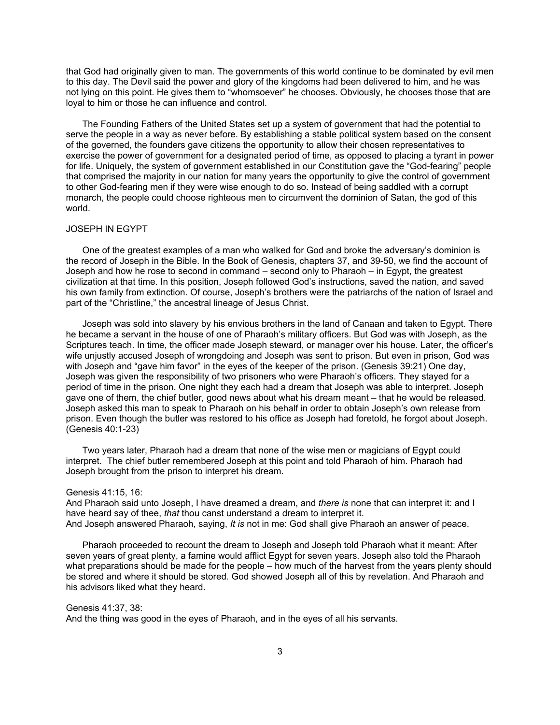that God had originally given to man. The governments of this world continue to be dominated by evil men to this day. The Devil said the power and glory of the kingdoms had been delivered to him, and he was not lying on this point. He gives them to "whomsoever" he chooses. Obviously, he chooses those that are loyal to him or those he can influence and control.

The Founding Fathers of the United States set up a system of government that had the potential to serve the people in a way as never before. By establishing a stable political system based on the consent of the governed, the founders gave citizens the opportunity to allow their chosen representatives to exercise the power of government for a designated period of time, as opposed to placing a tyrant in power for life. Uniquely, the system of government established in our Constitution gave the "God-fearing" people that comprised the majority in our nation for many years the opportunity to give the control of government to other God-fearing men if they were wise enough to do so. Instead of being saddled with a corrupt monarch, the people could choose righteous men to circumvent the dominion of Satan, the god of this world.

# JOSEPH IN EGYPT

One of the greatest examples of a man who walked for God and broke the adversary's dominion is the record of Joseph in the Bible. In the Book of Genesis, chapters 37, and 39-50, we find the account of Joseph and how he rose to second in command – second only to Pharaoh – in Egypt, the greatest civilization at that time. In this position, Joseph followed God's instructions, saved the nation, and saved his own family from extinction. Of course, Joseph's brothers were the patriarchs of the nation of Israel and part of the "Christline," the ancestral lineage of Jesus Christ.

Joseph was sold into slavery by his envious brothers in the land of Canaan and taken to Egypt. There he became a servant in the house of one of Pharaoh's military officers. But God was with Joseph, as the Scriptures teach. In time, the officer made Joseph steward, or manager over his house. Later, the officer's wife unjustly accused Joseph of wrongdoing and Joseph was sent to prison. But even in prison, God was with Joseph and "gave him favor" in the eyes of the keeper of the prison. (Genesis 39:21) One day, Joseph was given the responsibility of two prisoners who were Pharaoh's officers. They stayed for a period of time in the prison. One night they each had a dream that Joseph was able to interpret. Joseph gave one of them, the chief butler, good news about what his dream meant – that he would be released. Joseph asked this man to speak to Pharaoh on his behalf in order to obtain Joseph's own release from prison. Even though the butler was restored to his office as Joseph had foretold, he forgot about Joseph. (Genesis 40:1-23)

Two years later, Pharaoh had a dream that none of the wise men or magicians of Egypt could interpret. The chief butler remembered Joseph at this point and told Pharaoh of him. Pharaoh had Joseph brought from the prison to interpret his dream.

### Genesis 41:15, 16:

And Pharaoh said unto Joseph, I have dreamed a dream, and *there is* none that can interpret it: and I have heard say of thee, *that* thou canst understand a dream to interpret it. And Joseph answered Pharaoh, saying, *It is* not in me: God shall give Pharaoh an answer of peace.

Pharaoh proceeded to recount the dream to Joseph and Joseph told Pharaoh what it meant: After seven years of great plenty, a famine would afflict Egypt for seven years. Joseph also told the Pharaoh what preparations should be made for the people – how much of the harvest from the years plenty should be stored and where it should be stored. God showed Joseph all of this by revelation. And Pharaoh and his advisors liked what they heard.

### Genesis 41:37, 38:

And the thing was good in the eyes of Pharaoh, and in the eyes of all his servants.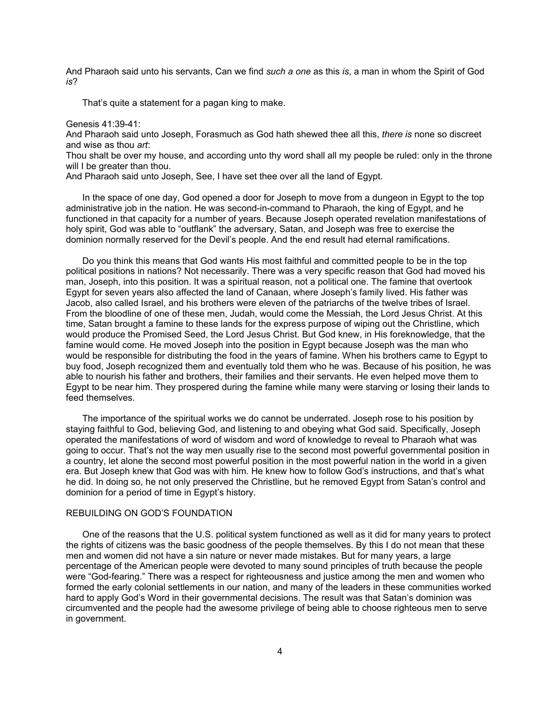And Pharaoh said unto his servants, Can we find *such a one* as this *is*, a man in whom the Spirit of God *is*?

That's quite a statement for a pagan king to make.

# Genesis 41:39-41:

And Pharaoh said unto Joseph, Forasmuch as God hath shewed thee all this, *there is* none so discreet and wise as thou *art*:

Thou shalt be over my house, and according unto thy word shall all my people be ruled: only in the throne will I be greater than thou.

And Pharaoh said unto Joseph, See, I have set thee over all the land of Egypt.

In the space of one day, God opened a door for Joseph to move from a dungeon in Egypt to the top administrative job in the nation. He was second-in-command to Pharaoh, the king of Egypt, and he functioned in that capacity for a number of years. Because Joseph operated revelation manifestations of holy spirit, God was able to "outflank" the adversary, Satan, and Joseph was free to exercise the dominion normally reserved for the Devil's people. And the end result had eternal ramifications.

Do you think this means that God wants His most faithful and committed people to be in the top political positions in nations? Not necessarily. There was a very specific reason that God had moved his man, Joseph, into this position. It was a spiritual reason, not a political one. The famine that overtook Egypt for seven years also affected the land of Canaan, where Joseph's family lived. His father was Jacob, also called Israel, and his brothers were eleven of the patriarchs of the twelve tribes of Israel. From the bloodline of one of these men, Judah, would come the Messiah, the Lord Jesus Christ. At this time, Satan brought a famine to these lands for the express purpose of wiping out the Christline, which would produce the Promised Seed, the Lord Jesus Christ. But God knew, in His foreknowledge, that the famine would come. He moved Joseph into the position in Egypt because Joseph was the man who would be responsible for distributing the food in the years of famine. When his brothers came to Egypt to buy food, Joseph recognized them and eventually told them who he was. Because of his position, he was able to nourish his father and brothers, their families and their servants. He even helped move them to Egypt to be near him. They prospered during the famine while many were starving or losing their lands to feed themselves.

The importance of the spiritual works we do cannot be underrated. Joseph rose to his position by staying faithful to God, believing God, and listening to and obeying what God said. Specifically, Joseph operated the manifestations of word of wisdom and word of knowledge to reveal to Pharaoh what was going to occur. That's not the way men usually rise to the second most powerful governmental position in a country, let alone the second most powerful position in the most powerful nation in the world in a given era. But Joseph knew that God was with him. He knew how to follow God's instructions, and that's what he did. In doing so, he not only preserved the Christline, but he removed Egypt from Satan's control and dominion for a period of time in Egypt's history.

# REBUILDING ON GOD'S FOUNDATION

One of the reasons that the U.S. political system functioned as well as it did for many years to protect the rights of citizens was the basic goodness of the people themselves. By this I do not mean that these men and women did not have a sin nature or never made mistakes. But for many years, a large percentage of the American people were devoted to many sound principles of truth because the people were "God-fearing." There was a respect for righteousness and justice among the men and women who formed the early colonial settlements in our nation, and many of the leaders in these communities worked hard to apply God's Word in their governmental decisions. The result was that Satan's dominion was circumvented and the people had the awesome privilege of being able to choose righteous men to serve in government.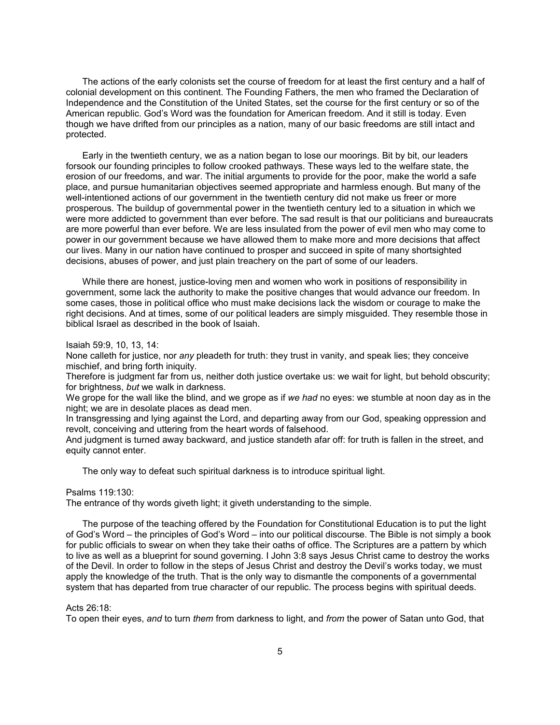The actions of the early colonists set the course of freedom for at least the first century and a half of colonial development on this continent. The Founding Fathers, the men who framed the Declaration of Independence and the Constitution of the United States, set the course for the first century or so of the American republic. God's Word was the foundation for American freedom. And it still is today. Even though we have drifted from our principles as a nation, many of our basic freedoms are still intact and protected.

Early in the twentieth century, we as a nation began to lose our moorings. Bit by bit, our leaders forsook our founding principles to follow crooked pathways. These ways led to the welfare state, the erosion of our freedoms, and war. The initial arguments to provide for the poor, make the world a safe place, and pursue humanitarian objectives seemed appropriate and harmless enough. But many of the well-intentioned actions of our government in the twentieth century did not make us freer or more prosperous. The buildup of governmental power in the twentieth century led to a situation in which we were more addicted to government than ever before. The sad result is that our politicians and bureaucrats are more powerful than ever before. We are less insulated from the power of evil men who may come to power in our government because we have allowed them to make more and more decisions that affect our lives. Many in our nation have continued to prosper and succeed in spite of many shortsighted decisions, abuses of power, and just plain treachery on the part of some of our leaders.

While there are honest, justice-loving men and women who work in positions of responsibility in government, some lack the authority to make the positive changes that would advance our freedom. In some cases, those in political office who must make decisions lack the wisdom or courage to make the right decisions. And at times, some of our political leaders are simply misguided. They resemble those in biblical Israel as described in the book of Isaiah.

#### Isaiah 59:9, 10, 13, 14:

None calleth for justice, nor *any* pleadeth for truth: they trust in vanity, and speak lies; they conceive mischief, and bring forth iniquity.

Therefore is judgment far from us, neither doth justice overtake us: we wait for light, but behold obscurity; for brightness, *but* we walk in darkness.

We grope for the wall like the blind, and we grope as if *we had* no eyes: we stumble at noon day as in the night; we are in desolate places as dead men.

In transgressing and lying against the Lord, and departing away from our God, speaking oppression and revolt, conceiving and uttering from the heart words of falsehood.

And judgment is turned away backward, and justice standeth afar off: for truth is fallen in the street, and equity cannot enter.

The only way to defeat such spiritual darkness is to introduce spiritual light.

### Psalms 119:130:

The entrance of thy words giveth light; it giveth understanding to the simple.

The purpose of the teaching offered by the Foundation for Constitutional Education is to put the light of God's Word – the principles of God's Word – into our political discourse. The Bible is not simply a book for public officials to swear on when they take their oaths of office. The Scriptures are a pattern by which to live as well as a blueprint for sound governing. I John 3:8 says Jesus Christ came to destroy the works of the Devil. In order to follow in the steps of Jesus Christ and destroy the Devil's works today, we must apply the knowledge of the truth. That is the only way to dismantle the components of a governmental system that has departed from true character of our republic. The process begins with spiritual deeds.

# Acts 26:18:

To open their eyes, *and* to turn *them* from darkness to light, and *from* the power of Satan unto God, that